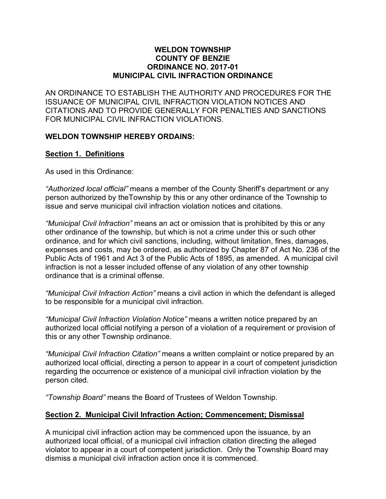#### **WELDON TOWNSHIP COUNTY OF BENZIE ORDINANCE NO. 2017-01 MUNICIPAL CIVIL INFRACTION ORDINANCE**

AN ORDINANCE TO ESTABLISH THE AUTHORITY AND PROCEDURES FOR THE ISSUANCE OF MUNICIPAL CIVIL INFRACTION VIOLATION NOTICES AND CITATIONS AND TO PROVIDE GENERALLY FOR PENALTIES AND SANCTIONS FOR MUNICIPAL CIVIL INFRACTION VIOLATIONS.

#### **WELDON TOWNSHIP HEREBY ORDAINS:**

#### **Section 1. Definitions**

As used in this Ordinance:

*"Authorized local official"* means a member of the County Sheriff's department or any person authorized by theTownship by this or any other ordinance of the Township to issue and serve municipal civil infraction violation notices and citations.

*"Municipal Civil Infraction"* means an act or omission that is prohibited by this or any other ordinance of the township, but which is not a crime under this or such other ordinance, and for which civil sanctions, including, without limitation, fines, damages, expenses and costs, may be ordered, as authorized by Chapter 87 of Act No. 236 of the Public Acts of 1961 and Act 3 of the Public Acts of 1895, as amended. A municipal civil infraction is not a lesser included offense of any violation of any other township ordinance that is a criminal offense.

*"Municipal Civil Infraction Action"* means a civil action in which the defendant is alleged to be responsible for a municipal civil infraction.

*"Municipal Civil Infraction Violation Notice"* means a written notice prepared by an authorized local official notifying a person of a violation of a requirement or provision of this or any other Township ordinance.

*"Municipal Civil Infraction Citation"* means a written complaint or notice prepared by an authorized local official, directing a person to appear in a court of competent jurisdiction regarding the occurrence or existence of a municipal civil infraction violation by the person cited.

*"Township Board"* means the Board of Trustees of Weldon Township.

#### **Section 2. Municipal Civil Infraction Action; Commencement; Dismissal**

A municipal civil infraction action may be commenced upon the issuance, by an authorized local official, of a municipal civil infraction citation directing the alleged violator to appear in a court of competent jurisdiction. Only the Township Board may dismiss a municipal civil infraction action once it is commenced.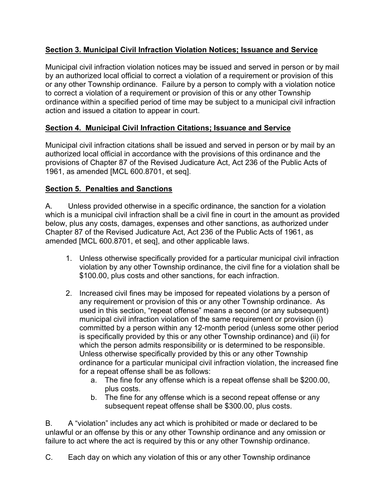# **Section 3. Municipal Civil Infraction Violation Notices; Issuance and Service**

Municipal civil infraction violation notices may be issued and served in person or by mail by an authorized local official to correct a violation of a requirement or provision of this or any other Township ordinance. Failure by a person to comply with a violation notice to correct a violation of a requirement or provision of this or any other Township ordinance within a specified period of time may be subject to a municipal civil infraction action and issued a citation to appear in court.

# **Section 4. Municipal Civil Infraction Citations; Issuance and Service**

Municipal civil infraction citations shall be issued and served in person or by mail by an authorized local official in accordance with the provisions of this ordinance and the provisions of Chapter 87 of the Revised Judicature Act, Act 236 of the Public Acts of 1961, as amended [MCL 600.8701, et seq].

# **Section 5. Penalties and Sanctions**

A. Unless provided otherwise in a specific ordinance, the sanction for a violation which is a municipal civil infraction shall be a civil fine in court in the amount as provided below, plus any costs, damages, expenses and other sanctions, as authorized under Chapter 87 of the Revised Judicature Act, Act 236 of the Public Acts of 1961, as amended [MCL 600.8701, et seq], and other applicable laws.

- 1. Unless otherwise specifically provided for a particular municipal civil infraction violation by any other Township ordinance, the civil fine for a violation shall be \$100.00, plus costs and other sanctions, for each infraction.
- 2. Increased civil fines may be imposed for repeated violations by a person of any requirement or provision of this or any other Township ordinance. As used in this section, "repeat offense" means a second (or any subsequent) municipal civil infraction violation of the same requirement or provision (i) committed by a person within any 12-month period (unless some other period is specifically provided by this or any other Township ordinance) and (ii) for which the person admits responsibility or is determined to be responsible. Unless otherwise specifically provided by this or any other Township ordinance for a particular municipal civil infraction violation, the increased fine for a repeat offense shall be as follows:
	- a. The fine for any offense which is a repeat offense shall be \$200.00, plus costs.
	- b. The fine for any offense which is a second repeat offense or any subsequent repeat offense shall be \$300.00, plus costs.

B. A "violation" includes any act which is prohibited or made or declared to be unlawful or an offense by this or any other Township ordinance and any omission or failure to act where the act is required by this or any other Township ordinance.

C. Each day on which any violation of this or any other Township ordinance